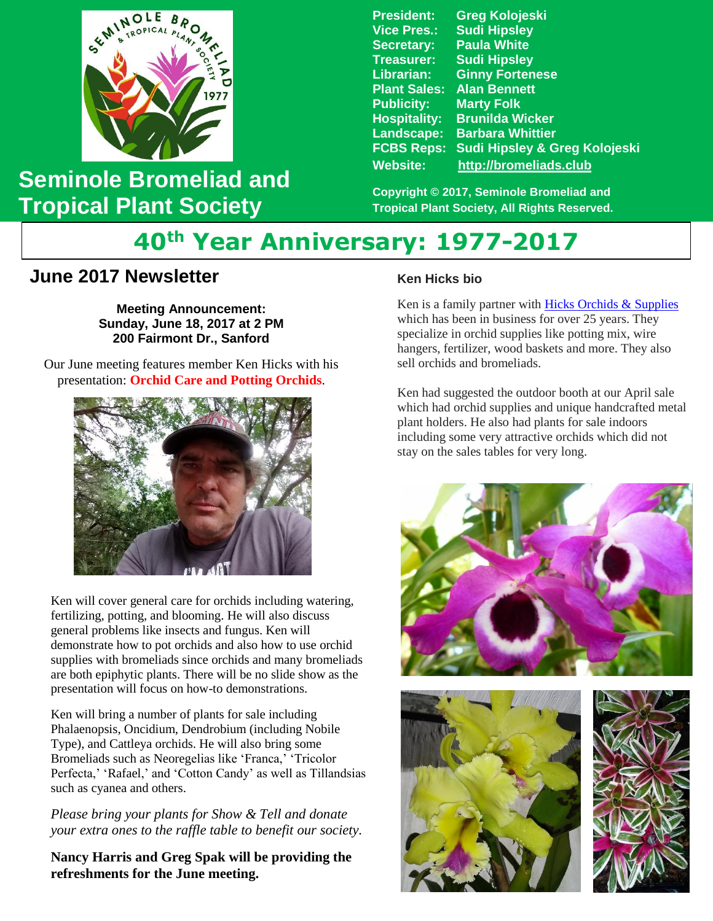

## **Seminole Bromeliad and Tropical Plant Society**

**President: Greg Kolojeski Vice Pres.: Sudi Hipsley Secretary: Paula White Treasurer: Sudi Hipsley Librarian: Ginny Fortenese Plant Sales: Alan Bennett Marty Folk Hospitality: Brunilda Wicker Landscape: Barbara Whittier FCBS Reps: Sudi Hipsley & Greg Kolojeski Website: [http://bromeliads.club](http://bromeliads.club/)**

**Copyright © 2017, Seminole Bromeliad and Tropical Plant Society, All Rights Reserved.**

# **40th Year Anniversary: 1977-2017**

### **June 2017 Newsletter**

**Meeting Announcement: Sunday, June 18, 2017 at 2 PM 200 Fairmont Dr., Sanford**

Our June meeting features member Ken Hicks with his presentation: **Orchid Care and Potting Orchids**.



Ken will cover general care for orchids including watering, fertilizing, potting, and blooming. He will also discuss general problems like insects and fungus. Ken will demonstrate how to pot orchids and also how to use orchid supplies with bromeliads since orchids and many bromeliads are both epiphytic plants. There will be no slide show as the presentation will focus on how-to demonstrations.

Ken will bring a number of plants for sale including Phalaenopsis, Oncidium, Dendrobium (including Nobile Type), and Cattleya orchids. He will also bring some Bromeliads such as Neoregelias like 'Franca,' 'Tricolor Perfecta,' 'Rafael,' and 'Cotton Candy' as well as Tillandsias such as cyanea and others.

*Please bring your plants for Show & Tell and donate your extra ones to the raffle table to benefit our society.*

**Nancy Harris and Greg Spak will be providing the refreshments for the June meeting.**

#### **Ken Hicks bio**

Ken is a family partner with [Hicks Orchids & Supplies](http://hicksorchidsandsupplies.simdif.com/) which has been in business for over 25 years. They specialize in orchid supplies like potting mix, wire hangers, fertilizer, wood baskets and more. They also sell orchids and bromeliads.

Ken had suggested the outdoor booth at our April sale which had orchid supplies and unique handcrafted metal plant holders. He also had plants for sale indoors including some very attractive orchids which did not stay on the sales tables for very long.